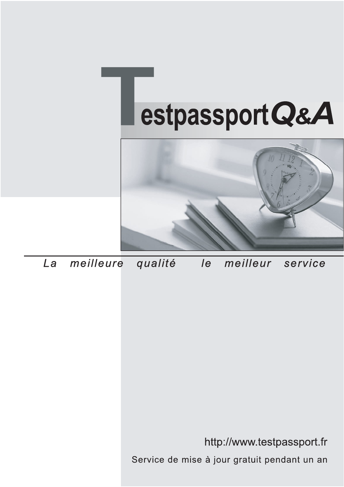



meilleure La qualité  $\overline{e}$ meilleur service

http://www.testpassport.fr

Service de mise à jour gratuit pendant un an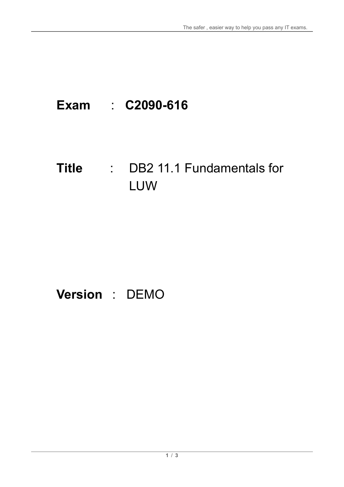# **Exam** : **C2090-616**

### **Title** : DB2 11.1 Fundamentals for LUW

## **Version** : DEMO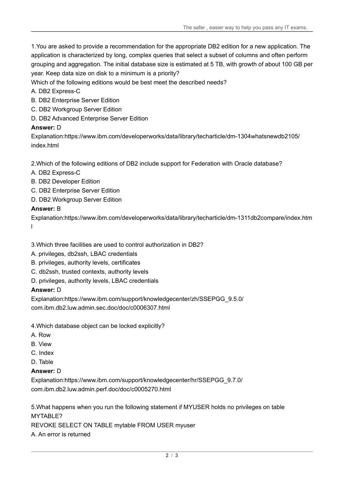1.You are asked to provide a recommendation for the appropriate DB2 edition for a new application. The application is characterized by long, complex queries that select a subset of columns and often perform grouping and aggregation. The initial database size is estimated at 5 TB, with growth of about 100 GB per year. Keep data size on disk to a minimum is a priority?

Which of the following editions would be best meet the described needs?

#### A. DB2 Express-C

- B. DB2 Enterprise Server Edition
- C. DB2 Workgroup Server Edition
- D. DB2 Advanced Enterprise Server Edition

#### **Answer:** D

Explanation:https://www.ibm.com/developerworks/data/library/techarticle/dm-1304whatsnewdb2105/ index.html

2.Which of the following editions of DB2 include support for Federation with Oracle database?

- A. DB2 Express-C
- B. DB2 Developer Edition
- C. DB2 Enterprise Server Edition
- D. DB2 Workgroup Server Edition

#### **Answer:** B

Explanation:https://www.ibm.com/developerworks/data/library/techarticle/dm-1311db2compare/index.htm l

3.Which three facilities are used to control authorization in DB2?

- A. privileges, db2ssh, LBAC credentials
- B. privileges, authority levels, certificates
- C. db2ssh, trusted contexts, authority levels
- D. privileges, authority levels, LBAC credentials

#### **Answer:** D

Explanation:https://www.ibm.com/support/knowledgecenter/zh/SSEPGG\_9.5.0/ com.ibm.db2.luw.admin.sec.doc/doc/c0006307.html

4.Which database object can be locked explicitly?

- A. Row
- B. View
- C. Index
- D. Table

#### **Answer:** D

Explanation:https://www.ibm.com/support/knowledgecenter/hr/SSEPGG\_9.7.0/ com.ibm.db2.luw.admin.perf.doc/doc/c0005270.html

5.What happens when you run the following statement if MYUSER holds no privileges on table MYTABLE?

REVOKE SELECT ON TABLE mytable FROM USER myuser

A. An error is returned